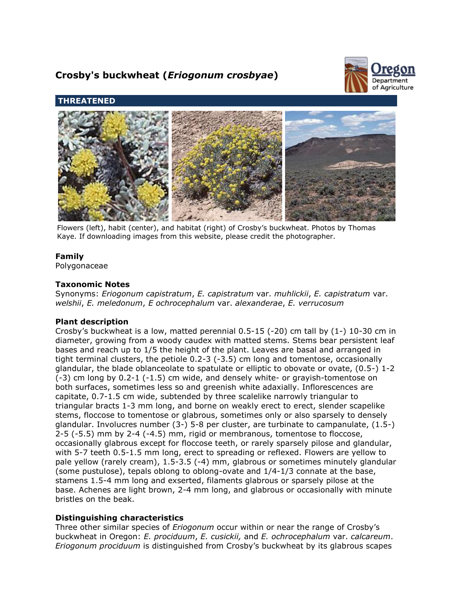# **Crosby's buckwheat (***Eriogonum crosbyae***)**



# **THREATENED**



Flowers (left), habit (center), and habitat (right) of Crosby's buckwheat. Photos by Thomas Kaye. If downloading images from this website, please credit the photographer.

# **Family**

Polygonaceae

# **Taxonomic Notes**

Synonyms: *Eriogonum capistratum*, *E. capistratum* var. *muhlickii*, *E. capistratum* var. *welshii*, *E. meledonum*, *E ochrocephalum* var. *alexanderae*, *E. verrucosum*

# **Plant description**

Crosby's buckwheat is a low, matted perennial  $0.5\n-15$  (-20) cm tall by  $(1-)$  10-30 cm in diameter, growing from a woody caudex with matted stems. Stems bear persistent leaf bases and reach up to 1/5 the height of the plant. Leaves are basal and arranged in tight terminal clusters, the petiole 0.2-3 (-3.5) cm long and tomentose, occasionally glandular, the blade oblanceolate to spatulate or elliptic to obovate or ovate, (0.5-) 1-2 (-3) cm long by 0.2-1 (-1.5) cm wide, and densely white- or grayish-tomentose on both surfaces, sometimes less so and greenish white adaxially. Inflorescences are capitate, 0.7-1.5 cm wide, subtended by three scalelike narrowly triangular to triangular bracts 1-3 mm long, and borne on weakly erect to erect, slender scapelike stems, floccose to tomentose or glabrous, sometimes only or also sparsely to densely glandular. Involucres number (3-) 5-8 per cluster, are turbinate to campanulate, (1.5-) 2-5 (-5.5) mm by 2-4 (-4.5) mm, rigid or membranous, tomentose to floccose, occasionally glabrous except for floccose teeth, or rarely sparsely pilose and glandular, with 5-7 teeth 0.5-1.5 mm long, erect to spreading or reflexed. Flowers are yellow to pale yellow (rarely cream), 1.5-3.5 (-4) mm, glabrous or sometimes minutely glandular (some pustulose), tepals oblong to oblong-ovate and 1/4-1/3 connate at the base, stamens 1.5-4 mm long and exserted, filaments glabrous or sparsely pilose at the base. Achenes are light brown, 2-4 mm long, and glabrous or occasionally with minute bristles on the beak.

# **Distinguishing characteristics**

Three other similar species of *Eriogonum* occur within or near the range of Crosby's buckwheat in Oregon: *E. prociduum*, *E. cusickii,* and *E. ochrocephalum* var. *calcareum*. *Eriogonum prociduum* is distinguished from Crosby's buckwheat by its glabrous scapes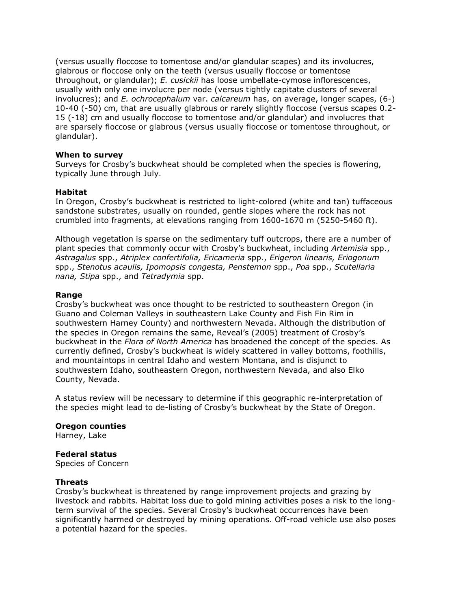(versus usually floccose to tomentose and/or glandular scapes) and its involucres, glabrous or floccose only on the teeth (versus usually floccose or tomentose throughout, or glandular); *E. cusickii* has loose umbellate-cymose inflorescences, usually with only one involucre per node (versus tightly capitate clusters of several involucres); and *E. ochrocephalum* var. *calcareum* has, on average, longer scapes, (6-) 10-40 (-50) cm, that are usually glabrous or rarely slightly floccose (versus scapes 0.2- 15 (-18) cm and usually floccose to tomentose and/or glandular) and involucres that are sparsely floccose or glabrous (versus usually floccose or tomentose throughout, or glandular).

# **When to survey**

Surveys for Crosby's buckwheat should be completed when the species is flowering, typically June through July.

## **Habitat**

In Oregon, Crosby's buckwheat is restricted to light-colored (white and tan) tuffaceous sandstone substrates, usually on rounded, gentle slopes where the rock has not crumbled into fragments, at elevations ranging from 1600-1670 m (5250-5460 ft).

Although vegetation is sparse on the sedimentary tuff outcrops, there are a number of plant species that commonly occur with Crosby's buckwheat, including *Artemisia* spp., *Astragalus* spp., *Atriplex confertifolia, Ericameria* spp., *Erigeron linearis, Eriogonum* spp., *Stenotus acaulis, Ipomopsis congesta, Penstemon* spp., *Poa* spp., *Scutellaria nana, Stipa* spp., and *Tetradymia* spp.

## **Range**

Crosby's buckwheat was once thought to be restricted to southeastern Oregon (in Guano and Coleman Valleys in southeastern Lake County and Fish Fin Rim in southwestern Harney County) and northwestern Nevada. Although the distribution of the species in Oregon remains the same, Reveal's (2005) treatment of Crosby's buckwheat in the *Flora of North America* has broadened the concept of the species. As currently defined, Crosby's buckwheat is widely scattered in valley bottoms, foothills, and mountaintops in central Idaho and western Montana, and is disjunct to southwestern Idaho, southeastern Oregon, northwestern Nevada, and also Elko County, Nevada.

A status review will be necessary to determine if this geographic re-interpretation of the species might lead to de-listing of Crosby's buckwheat by the State of Oregon.

## **Oregon counties**

Harney, Lake

## **Federal status**

Species of Concern

## **Threats**

Crosby's buckwheat is threatened by range improvement projects and grazing by livestock and rabbits. Habitat loss due to gold mining activities poses a risk to the longterm survival of the species. Several Crosby's buckwheat occurrences have been significantly harmed or destroyed by mining operations. Off-road vehicle use also poses a potential hazard for the species.